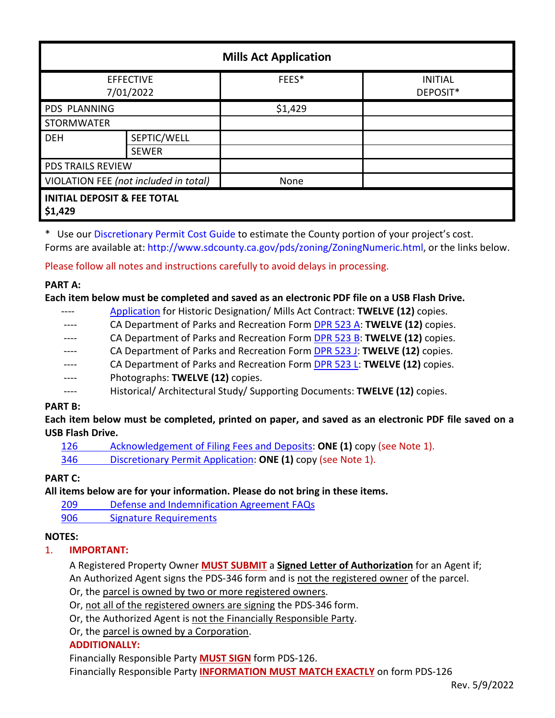| <b>Mills Act Application</b>                      |                             |         |                            |
|---------------------------------------------------|-----------------------------|---------|----------------------------|
| <b>EFFECTIVE</b><br>7/01/2022                     |                             | FEES*   | <b>INITIAL</b><br>DEPOSIT* |
| PDS PLANNING                                      |                             | \$1,429 |                            |
| <b>STORMWATER</b>                                 |                             |         |                            |
| <b>DEH</b>                                        | SEPTIC/WELL<br><b>SEWER</b> |         |                            |
| <b>PDS TRAILS REVIEW</b>                          |                             |         |                            |
| VIOLATION FEE (not included in total)             |                             | None    |                            |
| <b>INITIAL DEPOSIT &amp; FEE TOTAL</b><br>\$1,429 |                             |         |                            |

\* Use ou[r Discretionary Permit Cost Guide](http://www.sandiegocounty.gov/content/dam/sdc/pds/docs/Discretionary_Permit_Cost_Guide.xlsx) to estimate the County portion of your project's cost. Forms are available at[: http://www.sdcounty.ca.gov/pds/zoning/ZoningNumeric.html,](http://www.sdcounty.ca.gov/pds/zoning/ZoningNumeric.html) or the links below.

Please follow all notes and instructions carefully to avoid delays in processing.

### **PART A:**

#### **Each item below must be completed and saved as an electronic PDF file on a USB Flash Drive.**

- ---- [Application](https://www.sandiegocounty.gov/content/dam/sdc/pds/hsb/Mills_Act_Contract.pdf) for Historic Designation/ Mills Act Contract: **TWELVE (12)** copies.
- CA Department of Parks and Recreation Form [DPR 523 A:](http://ohp.parks.ca.gov/?page_id=28351) **TWELVE (12)** copies.
- ---- CA Department of Parks and Recreation Form [DPR 523 B:](http://ohp.parks.ca.gov/?page_id=28351) **TWELVE (12)** copies.
- CA Department of Parks and Recreation Form [DPR 523 J:](http://ohp.parks.ca.gov/?page_id=28351) **TWELVE (12)** copies.
- ---- CA Department of Parks and Recreation Form [DPR 523 L:](http://ohp.parks.ca.gov/?page_id=28351) **TWELVE (12)** copies.
- Photographs: **TWELVE** (12) copies.
- ---- Historical/ Architectural Study/ Supporting Documents: **TWELVE (12)** copies.

### **PART B:**

**Each item below must be completed, printed on paper, and saved as an electronic PDF file saved on a USB Flash Drive.**

[126 Acknowledgement of Filing Fees and Deposits:](http://www.sdcounty.ca.gov/pds/zoning/formfields/PDS-PLN-126.pdf) **ONE (1)** copy (see Note 1).

346 Discretionary [Permit Application:](http://www.sdcounty.ca.gov/pds/zoning/formfields/PDS-PLN-346.pdf) **ONE (1)** copy (see Note 1).

# **PART C:**

**All items below are for your information. Please do not bring in these items.**

209 [Defense and Indemnification Agreement FAQs](http://www.sdcounty.ca.gov/pds/zoning/formfields/PDS-PLN-209.pdf)

[906 Signature Requirements](http://www.sdcounty.ca.gov/pds/zoning/formfields/PDS-PLN-906.pdf) 

# **NOTES:**

# 1. **IMPORTANT:**

A Registered Property Owner **MUST SUBMIT** a **Signed Letter of Authorization** for an Agent if; An Authorized Agent signs the PDS-346 form and is not the registered owner of the parcel.

Or, the parcel is owned by two or more registered owners.

Or, not all of the registered owners are signing the PDS-346 form.

Or, the Authorized Agent is not the Financially Responsible Party.

Or, the parcel is owned by a Corporation.

### **ADDITIONALLY:**

Financially Responsible Party **MUST SIGN** form PDS-126.

Financially Responsible Party **INFORMATION MUST MATCH EXACTLY** on form PDS-126